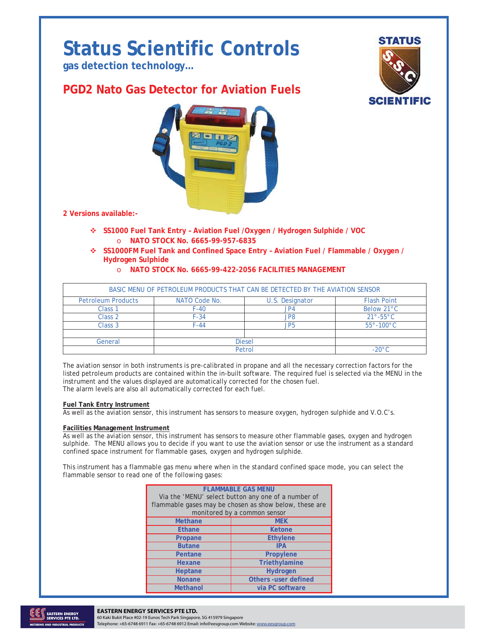# **Status Scientific Controls**

**gas detection technology…** 

# **PGD2 Nato Gas Detector for Aviation Fuels**



**2 Versions available:-** 

- **SS1000 Fuel Tank Entry Aviation Fuel /Oxygen / Hydrogen Sulphide / VOC**  o **NATO STOCK No. 6665-99-957-6835**
- **SS1000FM Fuel Tank and Confined Space Entry Aviation Fuel / Flammable / Oxygen / Hydrogen Sulphide**

**STATUS** 

**SCIENTIFIC** 

o **NATO STOCK No. 6665-99-422-2056 FACILITIES MANAGEMENT** 

|                           |               | BASIC MENU OF PETROLEUM PRODUCTS THAT CAN BE DETECTED BY THE AVIATION SENSOR |                          |
|---------------------------|---------------|------------------------------------------------------------------------------|--------------------------|
| <b>Petroleum Products</b> | NATO Code No. | U.S. Designator                                                              | <b>Flash Point</b>       |
| Class 1                   | $F-40$        | JP4                                                                          | Below 21°C               |
| Class <sub>2</sub>        | $F-34$        | JP8                                                                          | $21^\circ - 55^\circ$ C  |
| Class <sub>3</sub>        | $F-44$        | JP5                                                                          | $55^\circ - 100^\circ$ C |
| General                   | <b>Diesel</b> |                                                                              |                          |
|                           | Petrol        |                                                                              | $-20^{\circ}$ C          |

The aviation sensor in both instruments is pre-calibrated in propane and all the necessary correction factors for the listed petroleum products are contained within the in-built software. The required fuel is selected via the MENU in the instrument and the values displayed are automatically corrected for the chosen fuel. The alarm levels are also all automatically corrected for each fuel.

#### **Fuel Tank Entry Instrument**

As well as the aviation sensor, this instrument has sensors to measure oxygen, hydrogen sulphide and V.O.C's.

#### **Facilities Management Instrument**

As well as the aviation sensor, this instrument has sensors to measure other flammable gases, oxygen and hydrogen sulphide. The MENU allows you to decide if you want to use the aviation sensor or use the instrument as a standard confined space instrument for flammable gases, oxygen and hydrogen sulphide.

This instrument has a flammable gas menu where when in the standard confined space mode, you can select the flammable sensor to read one of the following gases:

| <b>FLAMMABLE GAS MENU</b>                                                              |                             |  |  |
|----------------------------------------------------------------------------------------|-----------------------------|--|--|
| Via the 'MENU' select button any one of a number of                                    |                             |  |  |
| flammable gases may be chosen as show below, these are<br>monitored by a common sensor |                             |  |  |
| <b>Methane</b>                                                                         | <b>MEK</b>                  |  |  |
| <b>Ethane</b>                                                                          | Ketone                      |  |  |
| Propane                                                                                | <b>Ethylene</b>             |  |  |
| <b>Butane</b>                                                                          | <b>IPA</b>                  |  |  |
| Pentane                                                                                | Propylene                   |  |  |
| Hexane                                                                                 | Triethylamine               |  |  |
| Heptane                                                                                | Hydrogen                    |  |  |
| <b>Nonane</b>                                                                          | <b>Others -user defined</b> |  |  |
| <b>Methanol</b>                                                                        | via PC software             |  |  |



### TO 2022 **ISSUE 1 26.01.128 ISSUE 1 26.01.12. Change Note: N/A Page 1 26.01.12. Change 1 26.01.12. Change 1 26.01.12.**

60 Kaki Bukit Place #02-19 Eunos Tech Park Singapore, SG 415979 Singapore Telephone: +65-6748 6911 Fax: +65-6748 6912 Email: info@eesgroup.com Website: www.eesgroup.com